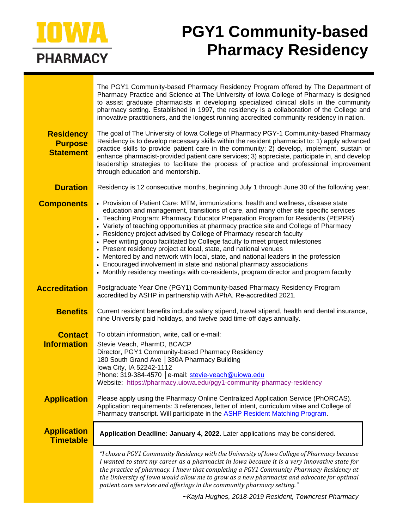

# **PGY1 Community-based Pharmacy Residency**

|                                                        | The PGY1 Community-based Pharmacy Residency Program offered by The Department of<br>Pharmacy Practice and Science at The University of Iowa College of Pharmacy is designed<br>to assist graduate pharmacists in developing specialized clinical skills in the community<br>pharmacy setting. Established in 1997, the residency is a collaboration of the College and<br>innovative practitioners, and the longest running accredited community residency in nation.                                                                                                                                                                                                                                                                                                                                                                       |
|--------------------------------------------------------|---------------------------------------------------------------------------------------------------------------------------------------------------------------------------------------------------------------------------------------------------------------------------------------------------------------------------------------------------------------------------------------------------------------------------------------------------------------------------------------------------------------------------------------------------------------------------------------------------------------------------------------------------------------------------------------------------------------------------------------------------------------------------------------------------------------------------------------------|
| <b>Residency</b><br><b>Purpose</b><br><b>Statement</b> | The goal of The University of Iowa College of Pharmacy PGY-1 Community-based Pharmacy<br>Residency is to develop necessary skills within the resident pharmacist to: 1) apply advanced<br>practice skills to provide patient care in the community; 2) develop, implement, sustain or<br>enhance pharmacist-provided patient care services; 3) appreciate, participate in, and develop<br>leadership strategies to facilitate the process of practice and professional improvement<br>through education and mentorship.                                                                                                                                                                                                                                                                                                                     |
| <b>Duration</b>                                        | Residency is 12 consecutive months, beginning July 1 through June 30 of the following year.                                                                                                                                                                                                                                                                                                                                                                                                                                                                                                                                                                                                                                                                                                                                                 |
| <b>Components</b>                                      | • Provision of Patient Care: MTM, immunizations, health and wellness, disease state<br>education and management, transitions of care, and many other site specific services<br>• Teaching Program: Pharmacy Educator Preparation Program for Residents (PEPPR)<br>• Variety of teaching opportunities at pharmacy practice site and College of Pharmacy<br>• Residency project advised by College of Pharmacy research faculty<br>• Peer writing group facilitated by College faculty to meet project milestones<br>• Present residency project at local, state, and national venues<br>• Mentored by and network with local, state, and national leaders in the profession<br>• Encouraged involvement in state and national pharmacy associations<br>• Monthly residency meetings with co-residents, program director and program faculty |
| <b>Accreditation</b>                                   | Postgraduate Year One (PGY1) Community-based Pharmacy Residency Program<br>accredited by ASHP in partnership with APhA. Re-accredited 2021.                                                                                                                                                                                                                                                                                                                                                                                                                                                                                                                                                                                                                                                                                                 |
| <b>Benefits</b>                                        | Current resident benefits include salary stipend, travel stipend, health and dental insurance,<br>nine University paid holidays, and twelve paid time-off days annually.                                                                                                                                                                                                                                                                                                                                                                                                                                                                                                                                                                                                                                                                    |
| <b>Contact</b>                                         | To obtain information, write, call or e-mail:                                                                                                                                                                                                                                                                                                                                                                                                                                                                                                                                                                                                                                                                                                                                                                                               |
| <b>Information</b>                                     | Stevie Veach, PharmD, BCACP<br>Director, PGY1 Community-based Pharmacy Residency<br>180 South Grand Ave   330A Pharmacy Building<br>lowa City, IA 52242-1112<br>Phone: 319-384-4570   e-mail: stevie-veach@uiowa.edu<br>Website: https://pharmacy.uiowa.edu/pgy1-community-pharmacy-residency                                                                                                                                                                                                                                                                                                                                                                                                                                                                                                                                               |
| <b>Application</b>                                     | Please apply using the Pharmacy Online Centralized Application Service (PhORCAS).<br>Application requirements: 3 references, letter of intent, curriculum vitae and College of<br>Pharmacy transcript. Will participate in the ASHP Resident Matching Program.                                                                                                                                                                                                                                                                                                                                                                                                                                                                                                                                                                              |
| <b>Application</b><br><b>Timetable</b>                 | Application Deadline: January 4, 2022. Later applications may be considered.                                                                                                                                                                                                                                                                                                                                                                                                                                                                                                                                                                                                                                                                                                                                                                |
|                                                        | "I chose a PGY1 Community Residency with the University of Iowa College of Pharmacy because<br>I wanted to start my career as a pharmacist in Iowa because it is a very innovative state for<br>the practice of pharmacy. I knew that completing a PGY1 Community Pharmacy Residency at<br>the University of lowa would allow me to grow as a new pharmacist and advocate for optimal<br>patient care services and offerings in the community pharmacy setting."                                                                                                                                                                                                                                                                                                                                                                            |

~*Kayla Hughes, 2018-2019 Resident, Towncrest Pharmacy*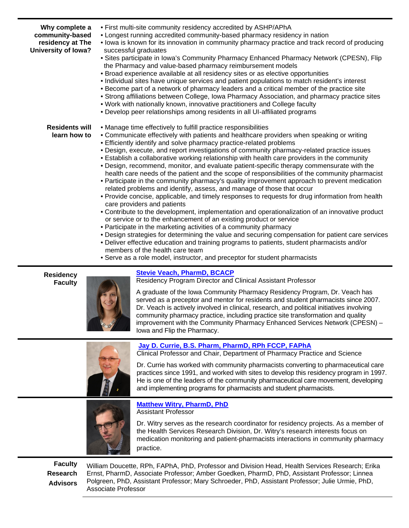| Why complete a<br>community-based<br>residency at The<br>University of Iowa? | . First multi-site community residency accredited by ASHP/APhA<br>• Longest running accredited community-based pharmacy residency in nation<br>. lowa is known for its innovation in community pharmacy practice and track record of producing<br>successful graduates<br>• Sites participate in Iowa's Community Pharmacy Enhanced Pharmacy Network (CPESN), Flip<br>the Pharmacy and value-based pharmacy reimbursement models<br>· Broad experience available at all residency sites or as elective opportunities<br>• Individual sites have unique services and patient populations to match resident's interest<br>• Become part of a network of pharmacy leaders and a critical member of the practice site<br>• Strong affiliations between College, Iowa Pharmacy Association, and pharmacy practice sites<br>. Work with nationally known, innovative practitioners and College faculty<br>• Develop peer relationships among residents in all UI-affiliated programs                                                                                                                                                                                                                                                                                                                                                                                                                |
|------------------------------------------------------------------------------|-----------------------------------------------------------------------------------------------------------------------------------------------------------------------------------------------------------------------------------------------------------------------------------------------------------------------------------------------------------------------------------------------------------------------------------------------------------------------------------------------------------------------------------------------------------------------------------------------------------------------------------------------------------------------------------------------------------------------------------------------------------------------------------------------------------------------------------------------------------------------------------------------------------------------------------------------------------------------------------------------------------------------------------------------------------------------------------------------------------------------------------------------------------------------------------------------------------------------------------------------------------------------------------------------------------------------------------------------------------------------------------------------|
| <b>Residents will</b><br>learn how to                                        | • Manage time effectively to fulfill practice responsibilities<br>• Communicate effectively with patients and healthcare providers when speaking or writing<br>• Efficiently identify and solve pharmacy practice-related problems<br>. Design, execute, and report investigations of community pharmacy-related practice issues<br>• Establish a collaborative working relationship with health care providers in the community<br>• Design, recommend, monitor, and evaluate patient-specific therapy commensurate with the<br>health care needs of the patient and the scope of responsibilities of the community pharmacist<br>• Participate in the community pharmacy's quality improvement approach to prevent medication<br>related problems and identify, assess, and manage of those that occur<br>• Provide concise, applicable, and timely responses to requests for drug information from health<br>care providers and patients<br>• Contribute to the development, implementation and operationalization of an innovative product<br>or service or to the enhancement of an existing product or service<br>• Participate in the marketing activities of a community pharmacy<br>• Design strategies for determining the value and securing compensation for patient care services<br>. Deliver effective education and training programs to patients, student pharmacists and/or |

- members of the health care team
- Serve as a role model, instructor, and preceptor for student pharmacists

**Residency Faculty**



**[Stevie Veach, PharmD, BCACP](https://pharmacy.uiowa.edu/directory/person/stevie-veach)**

Residency Program Director and Clinical Assistant Professor

A graduate of the Iowa Community Pharmacy Residency Program, Dr. Veach has served as a preceptor and mentor for residents and student pharmacists since 2007. Dr. Veach is actively involved in clinical, research, and political initiatives involving community pharmacy practice, including practice site transformation and quality improvement with the Community Pharmacy Enhanced Services Network (CPESN) – Iowa and Flip the Pharmacy.



## **[Jay D. Currie, B.S. Pharm, PharmD, RPh FCCP, FAPhA](https://pharmacy.uiowa.edu/directory/person/jay-dean-currie)**

Clinical Professor and Chair, Department of Pharmacy Practice and Science

Dr. Currie has worked with community pharmacists converting to pharmaceutical care practices since 1991, and worked with sites to develop this residency program in 1997. He is one of the leaders of the community pharmaceutical care movement, developing and implementing programs for pharmacists and student pharmacists.



#### **[Matthew Witry, PharmD, PhD](https://pharmacy.uiowa.edu/directory/person/matthew-j-witry)** Assistant Professor

Dr. Witry serves as the research coordinator for residency projects. As a member of the Health Services Research Division, Dr. Witry's research interests focus on medication monitoring and patient-pharmacists interactions in community pharmacy practice.

**Faculty Research Advisors** William Doucette, RPh, FAPhA, PhD, Professor and Division Head, Health Services Research; Erika Ernst, PharmD, Associate Professor; Amber Goedken, PharmD, PhD, Assistant Professor; Linnea Polgreen, PhD, Assistant Professor; Mary Schroeder, PhD, Assistant Professor; Julie Urmie, PhD, Associate Professor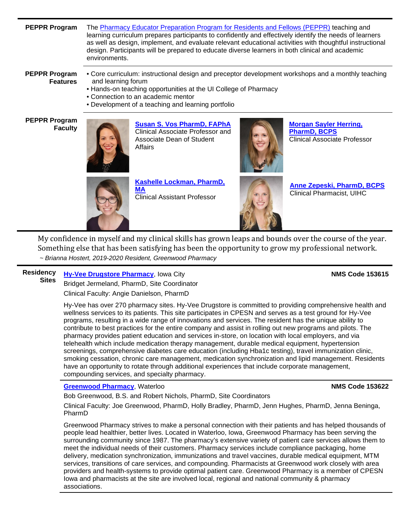**PEPPR Program** The [Pharmacy Educator Preparation Program for Residents and Fellows \(PEPPR\)](https://pharmacy.uiowa.edu/residents-teaching-learning-curriculum) teaching and learning curriculum prepares participants to confidently and effectively identify the needs of learners as well as design, implement, and evaluate relevant educational activities with thoughtful instructional design. Participants will be prepared to educate diverse learners in both clinical and academic environments.

**PEPPR Program Features**

• Core curriculum: instructional design and preceptor development workshops and a monthly teaching and learning forum

- Hands-on teaching opportunities at the UI College of Pharmacy
- Connection to an academic mentor
- Development of a teaching and learning portfolio

**PEPPR Program** 



**[Susan S. Vos PharmD, FAPhA](https://pharmacy.uiowa.edu/directory/person/susan-staggs-vos)** Clinical Associate Professor and Associate Dean of Student Affairs



**[Morgan Sayler Herring,](https://pharmacy.uiowa.edu/directory/person/morgan-sayler-herring)  [PharmD, BCPS](https://pharmacy.uiowa.edu/directory/person/morgan-sayler-herring)** Clinical Associate Professor



**[Kashelle Lockman, PharmD,](https://pharmacy.uiowa.edu/directory/person/kashelle-lockman)  [MA](https://pharmacy.uiowa.edu/directory/person/kashelle-lockman)** Clinical Assistant Professor



**[Anne Zepeski, PharmD, BCPS](https://uihc.org/anne-zepeski)** Clinical Pharmacist, UIHC

My confidence in myself and my clinical skills has grown leaps and bounds over the course of the year. Something else that has been satisfying has been the opportunity to grow my professional network. *~ Brianna Hostert, 2019-2020 Resident, Greenwood Pharmacy*

#### **Residency Sites [Hy-Vee Drugstore Pharmacy](https://www.hy-vee.com/stores/detail.aspx?sc=7042)**, Iowa City **NMS Code 153615**

Bridget Jermeland, PharmD, Site Coordinator Clinical Faculty: Angie Danielson, PharmD

Hy-Vee has over 270 pharmacy sites. Hy-Vee Drugstore is committed to providing comprehensive health and wellness services to its patients. This site participates in CPESN and serves as a test ground for Hy-Vee programs, resulting in a wide range of innovations and services. The resident has the unique ability to contribute to best practices for the entire company and assist in rolling out new programs and pilots. The pharmacy provides patient education and services in-store, on location with local employers, and via telehealth which include medication therapy management, durable medical equipment, hypertension screenings, comprehensive diabetes care education (including Hba1c testing), travel immunization clinic, smoking cessation, chronic care management, medication synchronization and lipid management. Residents have an opportunity to rotate through additional experiences that include corporate management, compounding services, and specialty pharmacy.

### **[Greenwood Pharmacy](https://www.greenwoodpharmacy.com/)**, Waterloo **NMS Code 153622**

Bob Greenwood, B.S. and Robert Nichols, PharmD, Site Coordinators

Clinical Faculty: Joe Greenwood, PharmD, Holly Bradley, PharmD, Jenn Hughes, PharmD, Jenna Beninga, PharmD

Greenwood Pharmacy strives to make a personal connection with their patients and has helped thousands of people lead healthier, better lives. Located in Waterloo, Iowa, Greenwood Pharmacy has been serving the surrounding community since 1987. The pharmacy's extensive variety of patient care services allows them to meet the individual needs of their customers. Pharmacy services include compliance packaging, home delivery, medication synchronization, immunizations and travel vaccines, durable medical equipment, MTM services, transitions of care services, and compounding. Pharmacists at Greenwood work closely with area providers and health-systems to provide optimal patient care. Greenwood Pharmacy is a member of CPESN Iowa and pharmacists at the site are involved local, regional and national community & pharmacy associations.